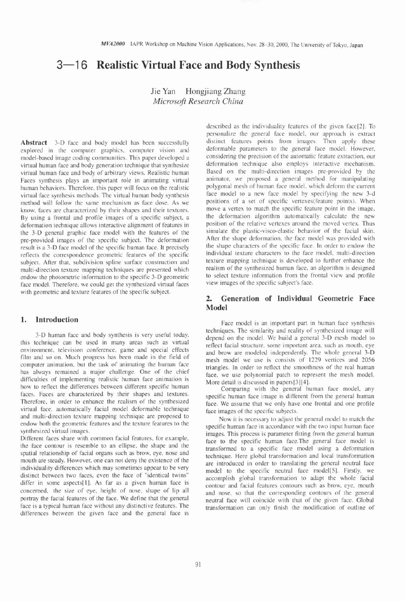# **3-1** 6 **Realistic Virtual Face and Body Synthesis**

Jie Yan Hongjiang Zhang **Microsoft Research China** 

**Abstract** 3-D face and body model has been successfully explored in the computer graphics. computer vision and model-based image coding communities. This paper developed a virtual human face and hody generation technique that synthesize virtual human face and hody of arbitrary views. Realistic human Faces synthesis plays an important role in animating virtual human behaviors. Therefore, this paper will focus on the realistic virtual face synthesis methods. The virtual human body synthesis method will follow the same mechanism as face dose. As we know, faces are characterized by their shapes and their textures. By using a frontal and profile images of a specific subject, a deformation technique allows interactive alignment of features in the 3-D general graphic face model with the features of the pre-provided images of the specific subject. The deformation result is a 3-D face model of the specific human face. It precisely reflects the correspondence geometric features of the specific subject. After that. subdivision spline surface construction and multi-direction texture mapping techniques are presented which endow the photometric information to the specific 3-D geometric face model. Therefore, we could get the synthesized virtual faces with geometric and texture features of the specific subject.

#### **1. Introduction**

3-D human face and body synthesis is very useful today. this technique can be used in many areas such as virtual environment, television conference. game and special effects film and so on. Much progress has been made in the field of computer animation. but the task of animating the human face has always remained a major challenge. One of the chief difficulties of implementing realistic human face animation is how to reflect the differences between different specific human faces. Faces are characterized by their shapes and textures. Therefore. in order to enhance the realism of the synthesized virtual face. automatically facial model deformable technique and multi-direction texture mapping technique are proposed to endow both the geometric features and the texture features to the synthesized virtual images.

Different faces share with common facial features, for example, the face contour is resemble to an ellipse, the shape and the spatial relationship of facial organs such as brow. eye, nose and mouth arc steady. However. one can not deny the existence of the individuality differences which may sometimes appear to be very distinct between two faces. even the face of "identical twins" differ in some aspects[1]. As far as a given human face is concerned, the size of eye. height of nose. shape of lip all portray the facial features of the face. We define that the general face is a typical human face without any distinctive features. The differences between the given face and the general face is

described as the individuality features of the given face[2]. To personalize the general face model, our approach is extract distinct features points from images. Then apply these deformable parameters to the general face model. However. considering the precision of the automatic feature extraction, our deformation technique also employs interactive mechanism. Based on the multi-direction images pre-provided by the animator. we proposed a general method for manipulating polygonal mesh of human face model. which deform the current face model to a new face model by specifying the new 3-d positions of a set of specific vertexes(feature points). When move a vertex to match the specific feature point in the image, the deformation algorithm automatically calculate the new position of the relative vertexes around the moved vertex. Thus simulate the plastic-visco-elastic behavior of the facial skin. After the shape deformation. the face model was provided with the shape characters of the specific face. In order to endow the individual texture characters to the face model, multi-direction texture mapping technique is developed to further enhance the realism of the synthesized human face, an algorithm is designed to select texture information from the frontal view and profile view images of the specific subject's face.

# **2. Generation of Individual Geometric Face Model**

Face model is an important part in human face synthesis techniques. The similarity and reality of synthesized image will depend on the model. We build a general 3-D mesh model to reflect facial structure. some important area. such as mouth, eye and brow are modeled independently. The whole general 3-D mesh model we use is consists of 1229 vertices and 2056 triangles. In order to reflect the smoothness of the real human face, we use polynomial patch to represent the mesh model. More detail is discussed in papers[3][4].

Comparing with the general human face model, any specific human face image is different from the general human face. We assume that we only have one frontal and one profile face images of the specific subjects.

Now it is necessary to adjust the general model to match the specific human face in accordance with the two input human face images. This process is parameter fitting from the general human face to the specific human face.The general face model is transformed to a specific face model using a deformation technique. Here global transformation and local transformation are introduced in order to translating the general neutral face model to the specific neutral face model[5]. Firstly, we accomplish global transformation to adapt the whole facial contour and facial features contours such as brow. eye, mouth and nose. so that the corresponding contours of the general neutral face will coincide with that of the given face. Global transformation can only finish the modification of outline of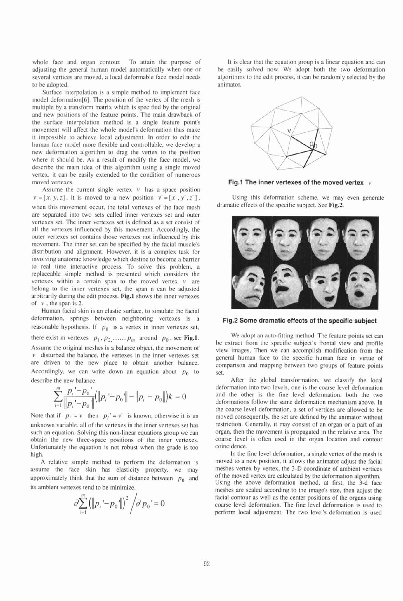whole face and organ contour. To attain the purpose of adjusting the general human model automatically when one or several vertices are moved, a local deformable face model needs to be adopted.

Surface interpolation is a simple method to implement face model deformation[b]. The position of the vertex of the mesh is multiple by a transform matrix which is specified by the original and new positions of the feature points. The main drawback of the surface interpolation method is a single feature point's movement will affect the whole model's deformation thus make it impossible to achieve local adjustment. In order to edit the human face model more flexible and controllable, we develop a new deformation algorithm to drag the vertex to the position where it should be. As a result of modify the face model, we describe the main idea of this algorithm using a single moved vertex, it can be easily extended to the condition of numerous moved vertexes.

Assume the current single vertex  $v$  has a space position  $v = [x, y, z]$ , it is moved to a new position  $v' = [x', y', z']$ . when this movement occur, the total vertexes of the face mesh are separated into two sets called inner vertexes set and outer vertexes set. The inner vertexes set is defined as a set consist of all the vertexes influenced by this movement. Accordingly, the outer vertexes set contains those vertexes not influenced by this movement. The inner set can be specified by the facial muscle's distribution and alignment. However, it is a complex task for involving anatomic knowledge which destine to become a barrier to real time interactive process. To solve this problem. a replaceable simple method is presented which considers the vertexes within a certain span to the moved vertex  $v$  are belong to the inner vertexes set, the span n can be adjusted arbitrarily during the edit process. **Fig.1** shows the inner vertexes of  $\nu$ , the span is 2.

Human facial skin is an elastic surface. to simulate the facial deformation. springs between neighboring vertexes is a reasonable hypothesis. If  $p_0$  is a vertex in inner vertexes set, there exist m vertexes  $p_1$ ,  $p_2$ , ......  $p_m$  around  $p_0$ , see Fig.1. Assume the original meshes is a balance object, the movement of  $\nu$  disturbed the balance, the vertexes in the inner vertexes set are driven to the new place to obtain another balance. Accordingly, we can write down an equation about  $p_0$  to describe the new balance.

$$
\sum_{i=1}^{m} \frac{p_i - p_0}{\|p_i - p_0\|} (\|p_i - p_0\| - \|p_i - p_0\|)k = 0
$$

Note that if  $p_i = v$  then  $p_i' = v'$  is known, otherwise it is an unknown variable. all of the vertexes in the inner vertexes set has such an equation. Solving this non-linear equations group we can obtain the new three-space positions of the inner vertexes. Unfortunately the equation is not robust when the grade is too high.

**A** relative simple method to perform the deformation is assume the face skin has elasticity property, we may approximately think that the sum of distance between  $p_0$  and its ambient vertexes tend to be minimize.

$$
\partial \sum_{i=1}^{m} (||p_i - p_0||)^2 / \partial p_0 = 0
$$

It is clear that the equation group is a linear equation and can be easily solved now. We adopt both the two deformation algorithms to the edit process. it can be randomly selected by the animator.



**Fig.1 The inner vertexes of the moved vertex** *v* 

Using this deformation scheme, we may even generate dramatic effects of the specific subject. See **Fig.2.** 



**Fig.2 Some dramatic effects of the specific subject** 

We adopt an auto-fitting method. The feature points set can be extract from the specific subject's frontal view and profile view images, Then we can accomplish modification from the general human face to the specific human face in virtue of comparison and mapping between two groups of feature points set.

After the global transformation, we classify the local deformation into two levels, one is the coarse level deformation and the other is the fine level deformation, both the two deformations follow the same deformation mechanism above. In the coarse level deformation, a set of vertices are allowed to be moved consequently. the set are defined by the animator without restriction. Generally, it may consist of an organ or a part of an organ, then the movement is propagated in the relative area. The coarse level is often used in the organ location and contour coincidence.

In the fine level deformation, a single vertex of the mesh is moved to a new position, it allows the animator adjust the facial meshes vertex by vertex, the 3-D coordinate of ambient vertices of the moved vertex are calculated by the deformation algorithm. Using the above deformation method, at first, the 3-d face meshes are scaled according to the image's size, then adjust the facial contour as well as the center positions of the organs using coarse level deformation. The fine level deformation is used to perform local adjustment. The two level's deformation is used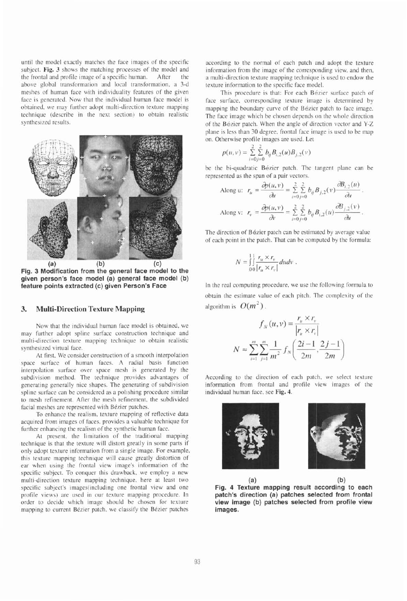until the model exactly matches the face images of the specific subject. **Fig. 3** shows the matching processes of the model and the frontal and profile image of a specific human. After the the frontal and profile image of a specific human. above global transformation and local transformation. a 3-d meshes of human face with individuality features of the given face is generated. Now that the individual human face model is obtained. we may further adopt multi-direction texture mapping technique (describe in the next section) to obtain realistic synthesized results.



**(a) (b) (c) Fig. 3 Modification from the general face model to the given person's face model (a) general face model (b) feature points extracted (c) given Person's Face** 

#### **3. Multi-Direction Texture Mapping**

Now that the individual human face model is obtained, we may further adopt spline surface construction technique and multi-direction texture mapping technique to obtain realistic synthesized virtual face.

At first. We consider construction of a smooth interpolation space surface of human faces. A radial basis function interpolation surface over space mesh is generated by the subdivision method. The technique provides advantages of generating generally nice shapes. The generating of subdivision spline surface can be considered as a polishing procedure similar to mesh refinement. After the mesh refinement, the subdivided facial meshes are represented with Bézier patches.

To enhance the realism. texture mapping of reflective data acquired from images of faces. provides a valuable technique for further enhancing the realism of the synthetic human face.

At present, the limitation of the traditional mapping technique is that the texture will distort greatly in some parts if only adopt texture information from a single image. For example. this texture mapping technique will cause greatly distortion of ear when using the frontal view image's information of the specific subject. To conquer this drawback. we employ a new multi-direction texture mapping technique, here at least two specific subject's images(including one frontal view and one profile views) are used in our texture mapping procedure. In order to decide which image should be chosen for texture mapping to current Bézier patch, we classify the Bézier patches

according to the normal of each patch and adopt the texture information from the image of the corresponding view, and then, a multi-direction texture mapping technique is used to endow the texture information to the specific face model.

This procedure is that: For each Bézier surface patch of face surface. corresponding texture image is determined by mapping the boundary curve of the Bezier patch to face image. The face image which be chosen depends on the whole direction of the Bezier patch. When the angle of direction vector and Y-Z plane is less than 30 degree. frontal face image is used to be map on. Otherwise profile images are used. Let

$$
p(u, v) = \sum_{i=0}^{2} \sum_{j=0}^{2} b_{ij} B_{i,2}(u) B_{j,2}(v)
$$

be the bi-quadratic Bézier patch. The tangent plane can be represented as the span of a pair vectors.

bessel relation. When the angle of direction vector and  
\nis less than 30 degree, frontal face image is used to be in  
\notherwise profile images are used. Let  
\n
$$
p(u, v) = \sum_{i=0}^{2} \sum_{j=0}^{2} b_{ij} B_{i,2}(u) B_{j,2}(v)
$$
\nne bi-quadratic Bézier patch. The tangent plane can  
\nsented as the span of a pair vectors.  
\nAlong u:  $r_u = \frac{\partial p(u, v)}{\partial u} = \sum_{i=0}^{2} \sum_{j=0}^{2} b_{ij} B_{j,2}(v) \frac{\partial B_{i,2}(u)}{\partial u}$ .  
\nAlong v:  $r_v = \frac{\partial p(u, v)}{\partial v} = \sum_{i=0}^{2} \sum_{j=0}^{2} b_{ij} B_{i,2}(u) \frac{\partial B_{j,2}(v)}{\partial u}$ .

The direction of Bézier patch can be estimated by average value of each point in the patch. That can be computed by the formula:

$$
N = \int_0^1 \int \frac{r_u \times r_v}{|r_u \times r_v|} du dv.
$$

In the real computing procedure, we use the following formula to obtain the estimate value of each pitch. The complexity of the algorithm is  $O(m^2)$ .

$$
f_{N}(u, v) = \frac{r_{u} \times r_{v}}{|r_{u} \times r_{v}|}
$$

$$
N \approx \sum_{i=1}^{m} \sum_{j=1}^{m} \frac{1}{m^{2}} f_{N} \left( \frac{2i - 1}{2m}, \frac{2j - 1}{2m} \right)
$$

According to the direction of each patch. we select texture information from frontal and profile view images of the individual human face. see **Fig.** 4.





**(a) (b) Fig. 4 Texture mapping result according to each patch's direction (a) patches selected from frontal view image (b) patches selected from profile view images.**